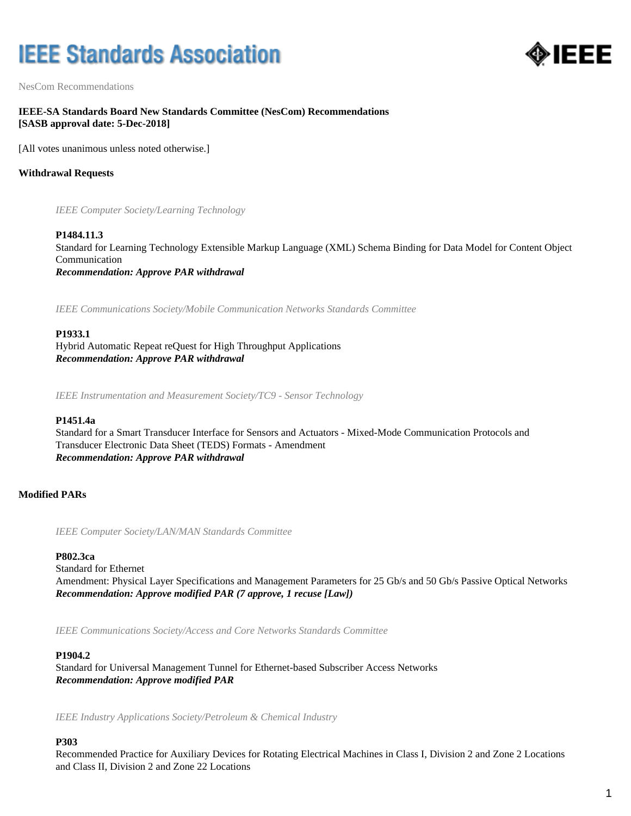# **IEEE Standards Association**



NesCom Recommendations

### **IEEE-SA Standards Board New Standards Committee (NesCom) Recommendations [SASB approval date: 5-Dec-2018]**

[All votes unanimous unless noted otherwise.]

### **Withdrawal Requests**

*IEEE Computer Society/Learning Technology*

### **P1484.11.3**

Standard for Learning Technology Extensible Markup Language (XML) Schema Binding for Data Model for Content Object Communication *Recommendation: Approve PAR withdrawal*

*IEEE Communications Society/Mobile Communication Networks Standards Committee*

#### **P1933.1**

Hybrid Automatic Repeat reQuest for High Throughput Applications *Recommendation: Approve PAR withdrawal*

*IEEE Instrumentation and Measurement Society/TC9 - Sensor Technology*

### **P1451.4a**

Standard for a Smart Transducer Interface for Sensors and Actuators - Mixed-Mode Communication Protocols and Transducer Electronic Data Sheet (TEDS) Formats - Amendment *Recommendation: Approve PAR withdrawal*

### **Modified PARs**

*IEEE Computer Society/LAN/MAN Standards Committee*

### **P802.3ca**

Standard for Ethernet Amendment: Physical Layer Specifications and Management Parameters for 25 Gb/s and 50 Gb/s Passive Optical Networks *Recommendation: Approve modified PAR (7 approve, 1 recuse [Law])*

*IEEE Communications Society/Access and Core Networks Standards Committee*

#### **P1904.2**

Standard for Universal Management Tunnel for Ethernet-based Subscriber Access Networks *Recommendation: Approve modified PAR*

*IEEE Industry Applications Society/Petroleum & Chemical Industry*

#### **P303**

Recommended Practice for Auxiliary Devices for Rotating Electrical Machines in Class I, Division 2 and Zone 2 Locations and Class II, Division 2 and Zone 22 Locations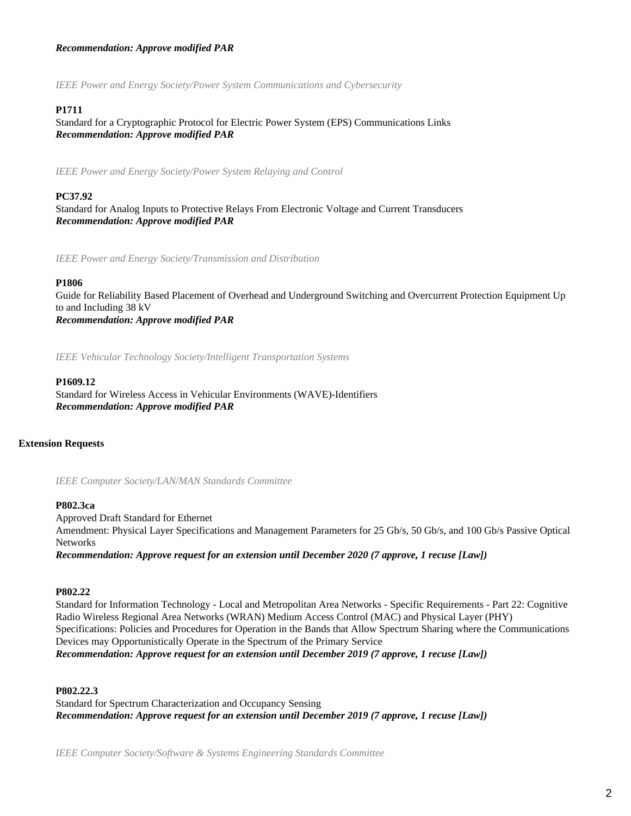### *Recommendation: Approve modified PAR*

*IEEE Power and Energy Society/Power System Communications and Cybersecurity*

### **P1711**

Standard for a Cryptographic Protocol for Electric Power System (EPS) Communications Links *Recommendation: Approve modified PAR*

*IEEE Power and Energy Society/Power System Relaying and Control*

### **PC37.92**

Standard for Analog Inputs to Protective Relays From Electronic Voltage and Current Transducers *Recommendation: Approve modified PAR*

*IEEE Power and Energy Society/Transmission and Distribution*

#### **P1806**

Guide for Reliability Based Placement of Overhead and Underground Switching and Overcurrent Protection Equipment Up to and Including 38 kV *Recommendation: Approve modified PAR*

*IEEE Vehicular Technology Society/Intelligent Transportation Systems*

#### **P1609.12**

Standard for Wireless Access in Vehicular Environments (WAVE)-Identifiers *Recommendation: Approve modified PAR*

### **Extension Requests**

*IEEE Computer Society/LAN/MAN Standards Committee*

#### **P802.3ca**

Approved Draft Standard for Ethernet Amendment: Physical Layer Specifications and Management Parameters for 25 Gb/s, 50 Gb/s, and 100 Gb/s Passive Optical Networks *Recommendation: Approve request for an extension until December 2020 (7 approve, 1 recuse [Law])*

#### **P802.22**

Standard for Information Technology - Local and Metropolitan Area Networks - Specific Requirements - Part 22: Cognitive Radio Wireless Regional Area Networks (WRAN) Medium Access Control (MAC) and Physical Layer (PHY) Specifications: Policies and Procedures for Operation in the Bands that Allow Spectrum Sharing where the Communications Devices may Opportunistically Operate in the Spectrum of the Primary Service *Recommendation: Approve request for an extension until December 2019 (7 approve, 1 recuse [Law])*

### **P802.22.3**

Standard for Spectrum Characterization and Occupancy Sensing *Recommendation: Approve request for an extension until December 2019 (7 approve, 1 recuse [Law])*

*IEEE Computer Society/Software & Systems Engineering Standards Committee*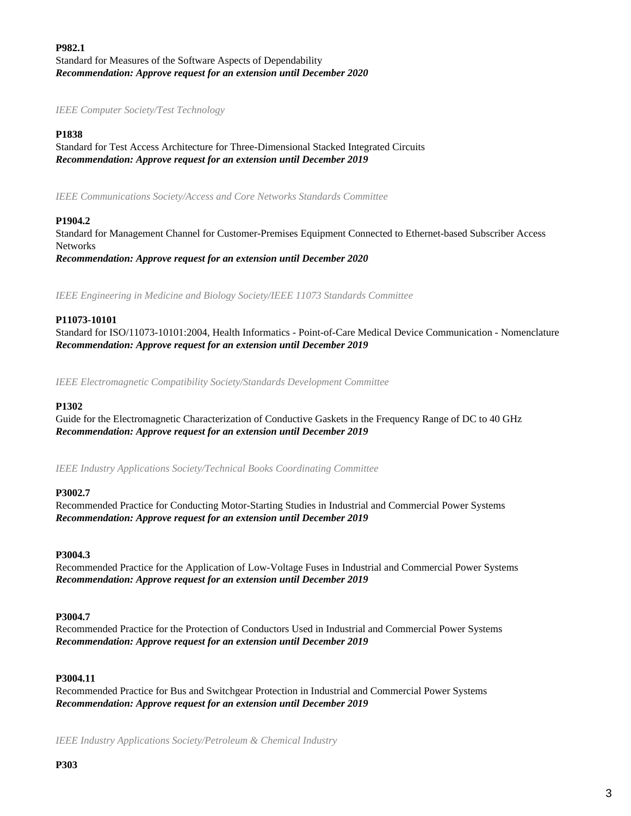### **P982.1** Standard for Measures of the Software Aspects of Dependability *Recommendation: Approve request for an extension until December 2020*

*IEEE Computer Society/Test Technology*

### **P1838**

Standard for Test Access Architecture for Three-Dimensional Stacked Integrated Circuits *Recommendation: Approve request for an extension until December 2019*

*IEEE Communications Society/Access and Core Networks Standards Committee*

### **P1904.2**

Standard for Management Channel for Customer-Premises Equipment Connected to Ethernet-based Subscriber Access Networks *Recommendation: Approve request for an extension until December 2020*

*IEEE Engineering in Medicine and Biology Society/IEEE 11073 Standards Committee*

### **P11073-10101**

Standard for ISO/11073-10101:2004, Health Informatics - Point-of-Care Medical Device Communication - Nomenclature *Recommendation: Approve request for an extension until December 2019*

*IEEE Electromagnetic Compatibility Society/Standards Development Committee*

#### **P1302**

Guide for the Electromagnetic Characterization of Conductive Gaskets in the Frequency Range of DC to 40 GHz *Recommendation: Approve request for an extension until December 2019*

*IEEE Industry Applications Society/Technical Books Coordinating Committee*

#### **P3002.7**

Recommended Practice for Conducting Motor-Starting Studies in Industrial and Commercial Power Systems *Recommendation: Approve request for an extension until December 2019*

#### **P3004.3**

Recommended Practice for the Application of Low-Voltage Fuses in Industrial and Commercial Power Systems *Recommendation: Approve request for an extension until December 2019*

#### **P3004.7**

Recommended Practice for the Protection of Conductors Used in Industrial and Commercial Power Systems *Recommendation: Approve request for an extension until December 2019*

### **P3004.11**

Recommended Practice for Bus and Switchgear Protection in Industrial and Commercial Power Systems *Recommendation: Approve request for an extension until December 2019*

*IEEE Industry Applications Society/Petroleum & Chemical Industry*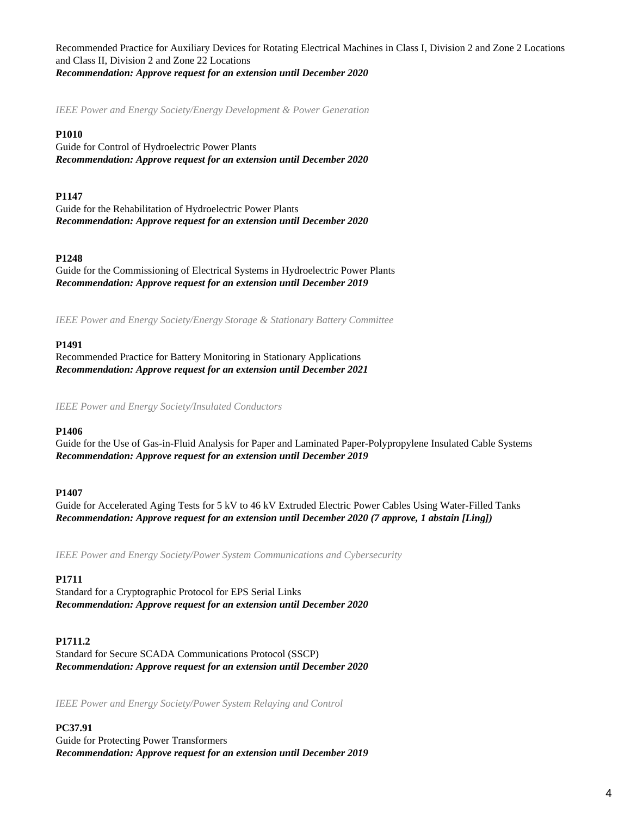Recommended Practice for Auxiliary Devices for Rotating Electrical Machines in Class I, Division 2 and Zone 2 Locations and Class II, Division 2 and Zone 22 Locations *Recommendation: Approve request for an extension until December 2020*

*IEEE Power and Energy Society/Energy Development & Power Generation*

### **P1010**

Guide for Control of Hydroelectric Power Plants *Recommendation: Approve request for an extension until December 2020*

### **P1147**

Guide for the Rehabilitation of Hydroelectric Power Plants *Recommendation: Approve request for an extension until December 2020*

### **P1248**

Guide for the Commissioning of Electrical Systems in Hydroelectric Power Plants *Recommendation: Approve request for an extension until December 2019*

*IEEE Power and Energy Society/Energy Storage & Stationary Battery Committee*

#### **P1491**

Recommended Practice for Battery Monitoring in Stationary Applications *Recommendation: Approve request for an extension until December 2021*

*IEEE Power and Energy Society/Insulated Conductors*

#### **P1406**

Guide for the Use of Gas-in-Fluid Analysis for Paper and Laminated Paper-Polypropylene Insulated Cable Systems *Recommendation: Approve request for an extension until December 2019*

#### **P1407**

Guide for Accelerated Aging Tests for 5 kV to 46 kV Extruded Electric Power Cables Using Water-Filled Tanks *Recommendation: Approve request for an extension until December 2020 (7 approve, 1 abstain [Ling])*

*IEEE Power and Energy Society/Power System Communications and Cybersecurity*

### **P1711**

Standard for a Cryptographic Protocol for EPS Serial Links *Recommendation: Approve request for an extension until December 2020*

### **P1711.2**

Standard for Secure SCADA Communications Protocol (SSCP) *Recommendation: Approve request for an extension until December 2020*

*IEEE Power and Energy Society/Power System Relaying and Control*

**PC37.91** Guide for Protecting Power Transformers *Recommendation: Approve request for an extension until December 2019*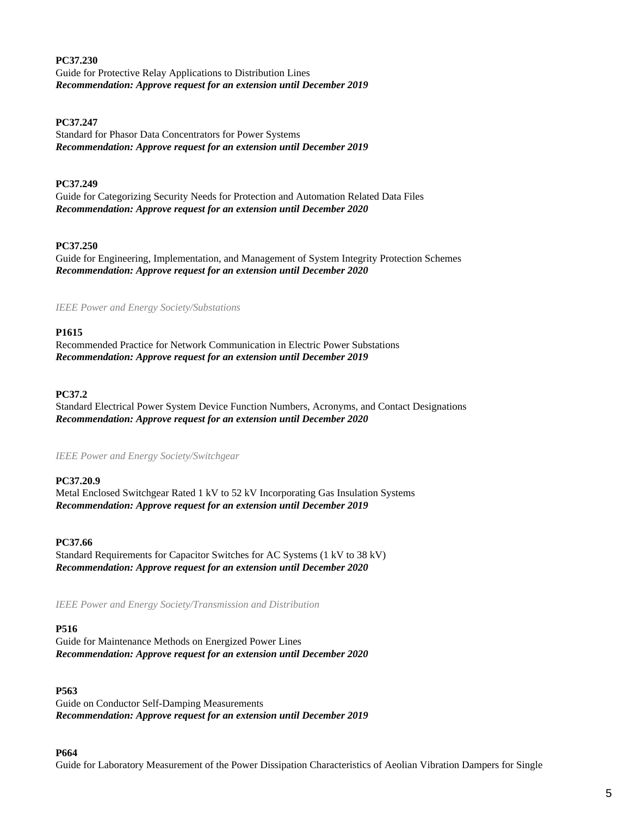**PC37.230** Guide for Protective Relay Applications to Distribution Lines *Recommendation: Approve request for an extension until December 2019*

### **PC37.247**

Standard for Phasor Data Concentrators for Power Systems *Recommendation: Approve request for an extension until December 2019*

### **PC37.249**

Guide for Categorizing Security Needs for Protection and Automation Related Data Files *Recommendation: Approve request for an extension until December 2020*

### **PC37.250**

Guide for Engineering, Implementation, and Management of System Integrity Protection Schemes *Recommendation: Approve request for an extension until December 2020*

*IEEE Power and Energy Society/Substations*

### **P1615**

Recommended Practice for Network Communication in Electric Power Substations *Recommendation: Approve request for an extension until December 2019*

### **PC37.2**

Standard Electrical Power System Device Function Numbers, Acronyms, and Contact Designations *Recommendation: Approve request for an extension until December 2020*

#### *IEEE Power and Energy Society/Switchgear*

### **PC37.20.9**

Metal Enclosed Switchgear Rated 1 kV to 52 kV Incorporating Gas Insulation Systems *Recommendation: Approve request for an extension until December 2019*

### **PC37.66**

Standard Requirements for Capacitor Switches for AC Systems (1 kV to 38 kV) *Recommendation: Approve request for an extension until December 2020*

*IEEE Power and Energy Society/Transmission and Distribution*

#### **P516**

Guide for Maintenance Methods on Energized Power Lines *Recommendation: Approve request for an extension until December 2020*

### **P563**

Guide on Conductor Self-Damping Measurements *Recommendation: Approve request for an extension until December 2019*

#### **P664**

Guide for Laboratory Measurement of the Power Dissipation Characteristics of Aeolian Vibration Dampers for Single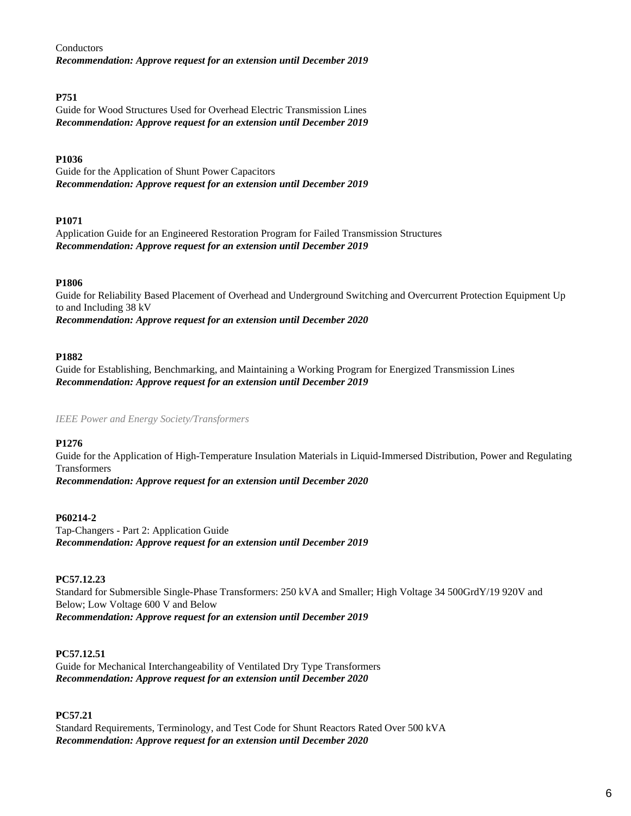Conductors *Recommendation: Approve request for an extension until December 2019*

### **P751**

Guide for Wood Structures Used for Overhead Electric Transmission Lines *Recommendation: Approve request for an extension until December 2019*

### **P1036**

Guide for the Application of Shunt Power Capacitors *Recommendation: Approve request for an extension until December 2019*

### **P1071**

Application Guide for an Engineered Restoration Program for Failed Transmission Structures *Recommendation: Approve request for an extension until December 2019*

### **P1806**

Guide for Reliability Based Placement of Overhead and Underground Switching and Overcurrent Protection Equipment Up to and Including 38 kV *Recommendation: Approve request for an extension until December 2020*

### **P1882**

Guide for Establishing, Benchmarking, and Maintaining a Working Program for Energized Transmission Lines *Recommendation: Approve request for an extension until December 2019*

*IEEE Power and Energy Society/Transformers*

### **P1276**

Guide for the Application of High-Temperature Insulation Materials in Liquid-Immersed Distribution, Power and Regulating Transformers

*Recommendation: Approve request for an extension until December 2020*

### **P60214-2**

Tap-Changers - Part 2: Application Guide *Recommendation: Approve request for an extension until December 2019*

### **PC57.12.23**

Standard for Submersible Single-Phase Transformers: 250 kVA and Smaller; High Voltage 34 500GrdY/19 920V and Below; Low Voltage 600 V and Below *Recommendation: Approve request for an extension until December 2019*

### **PC57.12.51**

Guide for Mechanical Interchangeability of Ventilated Dry Type Transformers *Recommendation: Approve request for an extension until December 2020*

### **PC57.21**

Standard Requirements, Terminology, and Test Code for Shunt Reactors Rated Over 500 kVA *Recommendation: Approve request for an extension until December 2020*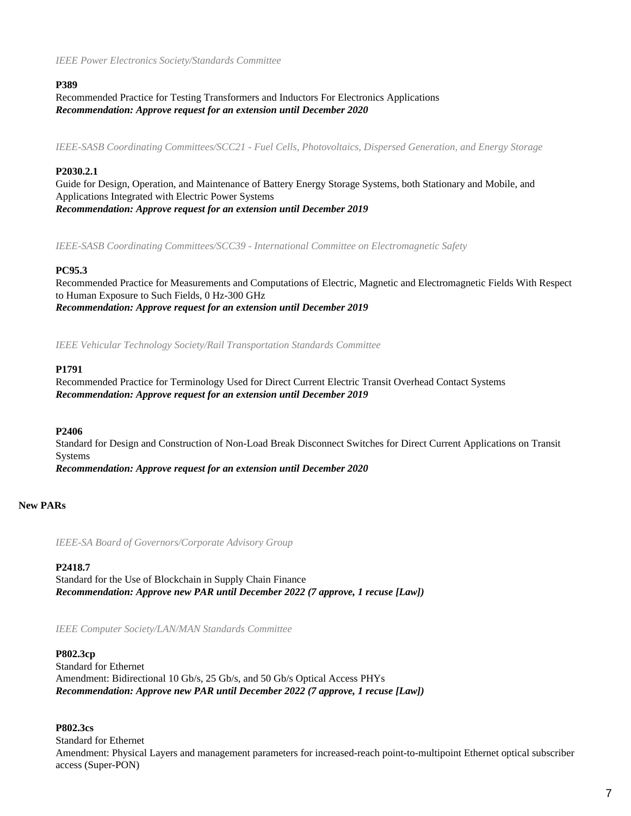*IEEE Power Electronics Society/Standards Committee*

### **P389**

Recommended Practice for Testing Transformers and Inductors For Electronics Applications *Recommendation: Approve request for an extension until December 2020*

*IEEE-SASB Coordinating Committees/SCC21 - Fuel Cells, Photovoltaics, Dispersed Generation, and Energy Storage*

### **P2030.2.1**

Guide for Design, Operation, and Maintenance of Battery Energy Storage Systems, both Stationary and Mobile, and Applications Integrated with Electric Power Systems *Recommendation: Approve request for an extension until December 2019*

*IEEE-SASB Coordinating Committees/SCC39 - International Committee on Electromagnetic Safety*

#### **PC95.3**

Recommended Practice for Measurements and Computations of Electric, Magnetic and Electromagnetic Fields With Respect to Human Exposure to Such Fields, 0 Hz-300 GHz *Recommendation: Approve request for an extension until December 2019*

*IEEE Vehicular Technology Society/Rail Transportation Standards Committee*

#### **P1791**

Recommended Practice for Terminology Used for Direct Current Electric Transit Overhead Contact Systems *Recommendation: Approve request for an extension until December 2019*

### **P2406**

Standard for Design and Construction of Non-Load Break Disconnect Switches for Direct Current Applications on Transit Systems *Recommendation: Approve request for an extension until December 2020*

### **New PARs**

*IEEE-SA Board of Governors/Corporate Advisory Group*

### **P2418.7**

Standard for the Use of Blockchain in Supply Chain Finance *Recommendation: Approve new PAR until December 2022 (7 approve, 1 recuse [Law])*

*IEEE Computer Society/LAN/MAN Standards Committee*

#### **P802.3cp**

Standard for Ethernet Amendment: Bidirectional 10 Gb/s, 25 Gb/s, and 50 Gb/s Optical Access PHYs *Recommendation: Approve new PAR until December 2022 (7 approve, 1 recuse [Law])*

### **P802.3cs**

Standard for Ethernet Amendment: Physical Layers and management parameters for increased-reach point-to-multipoint Ethernet optical subscriber access (Super-PON)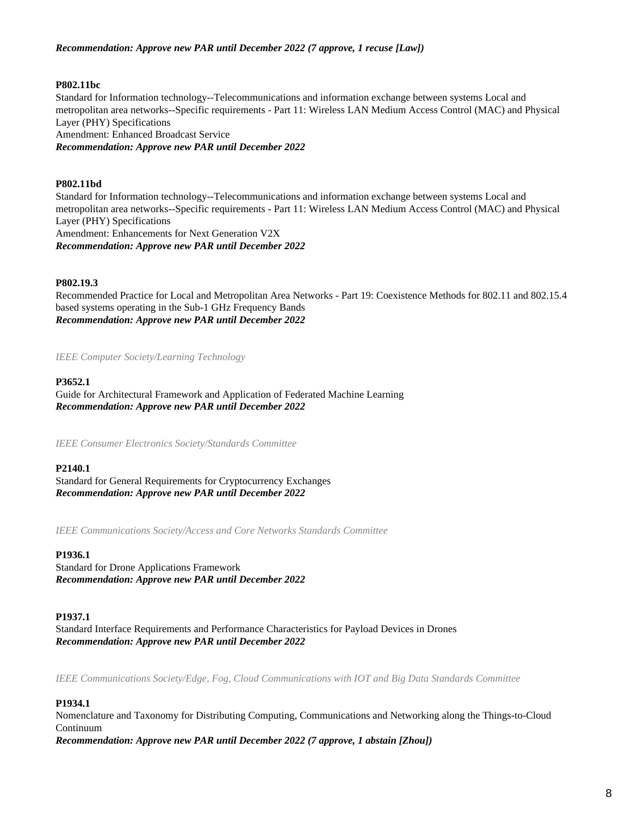### *Recommendation: Approve new PAR until December 2022 (7 approve, 1 recuse [Law])*

### **P802.11bc**

Standard for Information technology--Telecommunications and information exchange between systems Local and metropolitan area networks--Specific requirements - Part 11: Wireless LAN Medium Access Control (MAC) and Physical Layer (PHY) Specifications Amendment: Enhanced Broadcast Service *Recommendation: Approve new PAR until December 2022*

### **P802.11bd**

Standard for Information technology--Telecommunications and information exchange between systems Local and metropolitan area networks--Specific requirements - Part 11: Wireless LAN Medium Access Control (MAC) and Physical Layer (PHY) Specifications Amendment: Enhancements for Next Generation V2X *Recommendation: Approve new PAR until December 2022*

### **P802.19.3**

Recommended Practice for Local and Metropolitan Area Networks - Part 19: Coexistence Methods for 802.11 and 802.15.4 based systems operating in the Sub-1 GHz Frequency Bands *Recommendation: Approve new PAR until December 2022*

*IEEE Computer Society/Learning Technology*

### **P3652.1**

Guide for Architectural Framework and Application of Federated Machine Learning *Recommendation: Approve new PAR until December 2022*

*IEEE Consumer Electronics Society/Standards Committee*

### **P2140.1**

Standard for General Requirements for Cryptocurrency Exchanges *Recommendation: Approve new PAR until December 2022*

*IEEE Communications Society/Access and Core Networks Standards Committee*

### **P1936.1**

Standard for Drone Applications Framework *Recommendation: Approve new PAR until December 2022*

### **P1937.1**

Standard Interface Requirements and Performance Characteristics for Payload Devices in Drones *Recommendation: Approve new PAR until December 2022*

*IEEE Communications Society/Edge, Fog, Cloud Communications with IOT and Big Data Standards Committee*

## **P1934.1**

Nomenclature and Taxonomy for Distributing Computing, Communications and Networking along the Things-to-Cloud Continuum *Recommendation: Approve new PAR until December 2022 (7 approve, 1 abstain [Zhou])*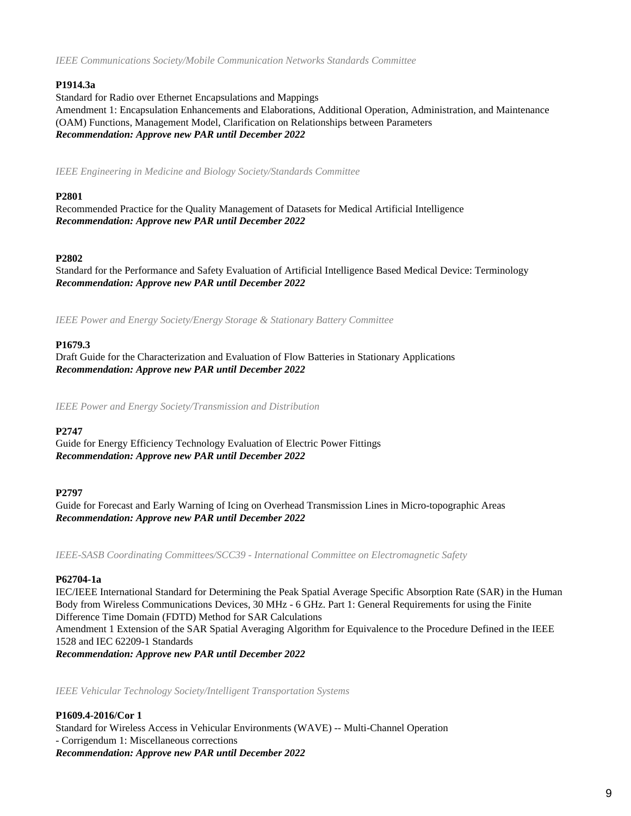*IEEE Communications Society/Mobile Communication Networks Standards Committee*

### **P1914.3a**

Standard for Radio over Ethernet Encapsulations and Mappings Amendment 1: Encapsulation Enhancements and Elaborations, Additional Operation, Administration, and Maintenance (OAM) Functions, Management Model, Clarification on Relationships between Parameters *Recommendation: Approve new PAR until December 2022*

*IEEE Engineering in Medicine and Biology Society/Standards Committee*

### **P2801**

Recommended Practice for the Quality Management of Datasets for Medical Artificial Intelligence *Recommendation: Approve new PAR until December 2022*

### **P2802**

Standard for the Performance and Safety Evaluation of Artificial Intelligence Based Medical Device: Terminology *Recommendation: Approve new PAR until December 2022*

*IEEE Power and Energy Society/Energy Storage & Stationary Battery Committee*

### **P1679.3**

Draft Guide for the Characterization and Evaluation of Flow Batteries in Stationary Applications *Recommendation: Approve new PAR until December 2022*

*IEEE Power and Energy Society/Transmission and Distribution*

### **P2747**

Guide for Energy Efficiency Technology Evaluation of Electric Power Fittings *Recommendation: Approve new PAR until December 2022*

### **P2797**

Guide for Forecast and Early Warning of Icing on Overhead Transmission Lines in Micro-topographic Areas *Recommendation: Approve new PAR until December 2022*

*IEEE-SASB Coordinating Committees/SCC39 - International Committee on Electromagnetic Safety*

### **P62704-1a**

IEC/IEEE International Standard for Determining the Peak Spatial Average Specific Absorption Rate (SAR) in the Human Body from Wireless Communications Devices, 30 MHz - 6 GHz. Part 1: General Requirements for using the Finite Difference Time Domain (FDTD) Method for SAR Calculations Amendment 1 Extension of the SAR Spatial Averaging Algorithm for Equivalence to the Procedure Defined in the IEEE 1528 and IEC 62209-1 Standards *Recommendation: Approve new PAR until December 2022*

*IEEE Vehicular Technology Society/Intelligent Transportation Systems*

**P1609.4-2016/Cor 1** Standard for Wireless Access in Vehicular Environments (WAVE) -- Multi-Channel Operation - Corrigendum 1: Miscellaneous corrections *Recommendation: Approve new PAR until December 2022*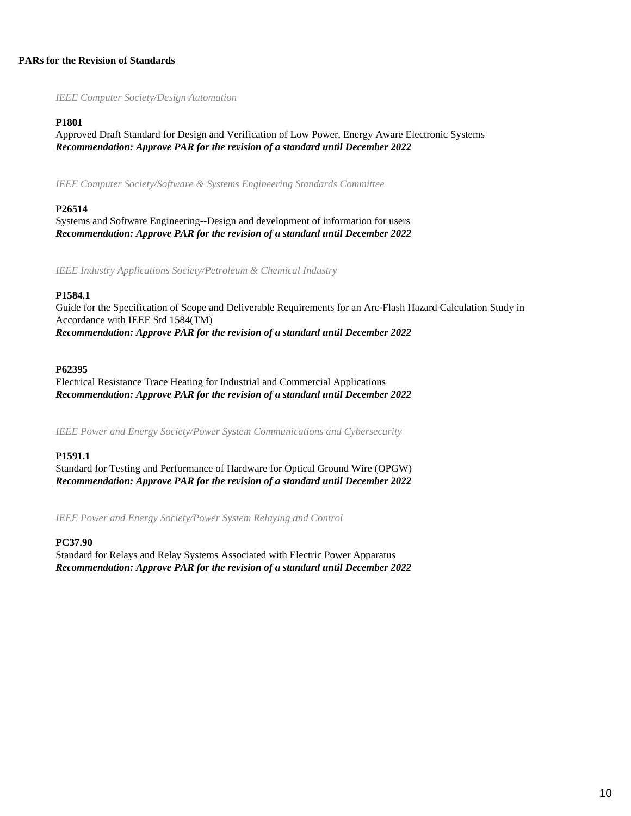### **PARs for the Revision of Standards**

*IEEE Computer Society/Design Automation*

### **P1801**

Approved Draft Standard for Design and Verification of Low Power, Energy Aware Electronic Systems *Recommendation: Approve PAR for the revision of a standard until December 2022*

*IEEE Computer Society/Software & Systems Engineering Standards Committee*

### **P26514**

Systems and Software Engineering--Design and development of information for users *Recommendation: Approve PAR for the revision of a standard until December 2022*

*IEEE Industry Applications Society/Petroleum & Chemical Industry*

### **P1584.1**

Guide for the Specification of Scope and Deliverable Requirements for an Arc-Flash Hazard Calculation Study in Accordance with IEEE Std 1584(TM) *Recommendation: Approve PAR for the revision of a standard until December 2022*

### **P62395**

Electrical Resistance Trace Heating for Industrial and Commercial Applications *Recommendation: Approve PAR for the revision of a standard until December 2022*

*IEEE Power and Energy Society/Power System Communications and Cybersecurity*

### **P1591.1**

Standard for Testing and Performance of Hardware for Optical Ground Wire (OPGW) *Recommendation: Approve PAR for the revision of a standard until December 2022*

*IEEE Power and Energy Society/Power System Relaying and Control*

### **PC37.90**

Standard for Relays and Relay Systems Associated with Electric Power Apparatus *Recommendation: Approve PAR for the revision of a standard until December 2022*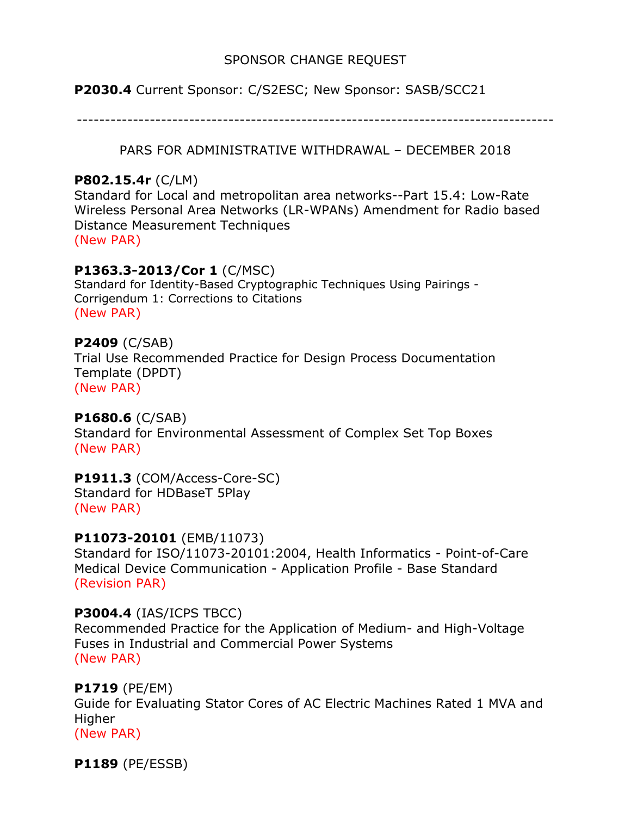# SPONSOR CHANGE REQUEST

**P2030.4** Current Sponsor: C/S2ESC; New Sponsor: SASB/SCC21

-------------------------------------------------------------------------------------

PARS FOR ADMINISTRATIVE WITHDRAWAL – DECEMBER 2018

# **P802.15.4r** (C/LM)

Standard for Local and metropolitan area networks--Part 15.4: Low-Rate Wireless Personal Area Networks (LR-WPANs) Amendment for Radio based Distance Measurement Techniques (New PAR)

# **P1363.3-2013/Cor 1** (C/MSC)

Standard for Identity-Based Cryptographic Techniques Using Pairings - Corrigendum 1: Corrections to Citations (New PAR)

# **P2409** (C/SAB)

Trial Use Recommended Practice for Design Process Documentation Template (DPDT)

(New PAR)

# **P1680.6** (C/SAB)

Standard for Environmental Assessment of Complex Set Top Boxes (New PAR)

# **P1911.3** (COM/Access-Core-SC) Standard for HDBaseT 5Play

(New PAR)

# **P11073-20101** (EMB/11073)

Standard for ISO/11073-20101:2004, Health Informatics - Point-of-Care Medical Device Communication - Application Profile - Base Standard (Revision PAR)

# **P3004.4** (IAS/ICPS TBCC)

Recommended Practice for the Application of Medium- and High-Voltage Fuses in Industrial and Commercial Power Systems (New PAR)

# **P1719** (PE/EM)

Guide for Evaluating Stator Cores of AC Electric Machines Rated 1 MVA and Higher

(New PAR)

**P1189** (PE/ESSB)